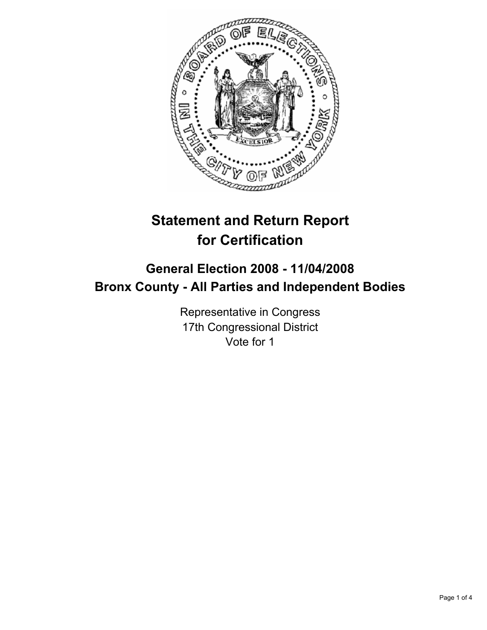

# **Statement and Return Report for Certification**

## **General Election 2008 - 11/04/2008 Bronx County - All Parties and Independent Bodies**

Representative in Congress 17th Congressional District Vote for 1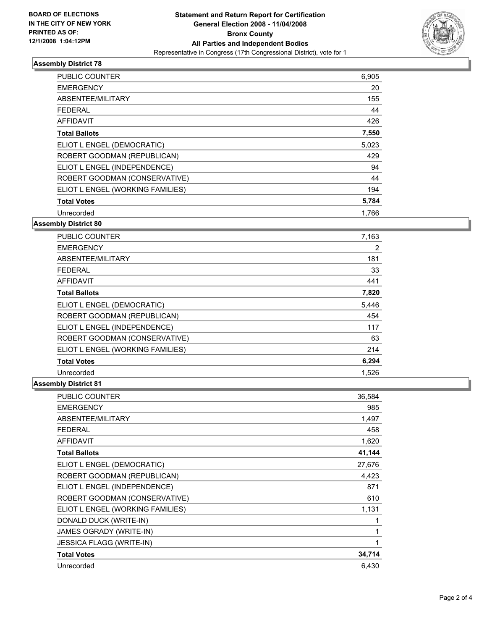

#### **Assembly District 78**

| <b>PUBLIC COUNTER</b>            | 6,905 |  |
|----------------------------------|-------|--|
| <b>EMERGENCY</b>                 | 20    |  |
| ABSENTEE/MILITARY                | 155   |  |
| FEDERAL                          | 44    |  |
| AFFIDAVIT                        | 426   |  |
| <b>Total Ballots</b>             | 7,550 |  |
| ELIOT L ENGEL (DEMOCRATIC)       | 5,023 |  |
| ROBERT GOODMAN (REPUBLICAN)      | 429   |  |
| ELIOT L ENGEL (INDEPENDENCE)     | 94    |  |
| ROBERT GOODMAN (CONSERVATIVE)    | 44    |  |
| ELIOT L ENGEL (WORKING FAMILIES) | 194   |  |
| <b>Total Votes</b>               | 5,784 |  |
| Unrecorded                       | 1,766 |  |

#### **Assembly District 80**

| <b>PUBLIC COUNTER</b>            | 7,163 |
|----------------------------------|-------|
| <b>EMERGENCY</b>                 | 2     |
| ABSENTEE/MILITARY                | 181   |
| <b>FEDERAL</b>                   | 33    |
| <b>AFFIDAVIT</b>                 | 441   |
| <b>Total Ballots</b>             | 7,820 |
| ELIOT L ENGEL (DEMOCRATIC)       | 5,446 |
| ROBERT GOODMAN (REPUBLICAN)      | 454   |
| ELIOT L ENGEL (INDEPENDENCE)     | 117   |
| ROBERT GOODMAN (CONSERVATIVE)    | 63    |
| ELIOT L ENGEL (WORKING FAMILIES) | 214   |
| <b>Total Votes</b>               | 6,294 |
| Unrecorded                       | 1,526 |

### **Assembly District 81**

| <b>PUBLIC COUNTER</b>            | 36,584 |
|----------------------------------|--------|
| <b>EMERGENCY</b>                 | 985    |
| ABSENTEE/MILITARY                | 1,497  |
| <b>FEDERAL</b>                   | 458    |
| <b>AFFIDAVIT</b>                 | 1,620  |
| <b>Total Ballots</b>             | 41,144 |
| ELIOT L ENGEL (DEMOCRATIC)       | 27,676 |
| ROBERT GOODMAN (REPUBLICAN)      | 4,423  |
| ELIOT L ENGEL (INDEPENDENCE)     | 871    |
| ROBERT GOODMAN (CONSERVATIVE)    | 610    |
| ELIOT L ENGEL (WORKING FAMILIES) | 1,131  |
| DONALD DUCK (WRITE-IN)           |        |
| JAMES OGRADY (WRITE-IN)          |        |
| <b>JESSICA FLAGG (WRITE-IN)</b>  |        |
| <b>Total Votes</b>               | 34,714 |
| Unrecorded                       | 6,430  |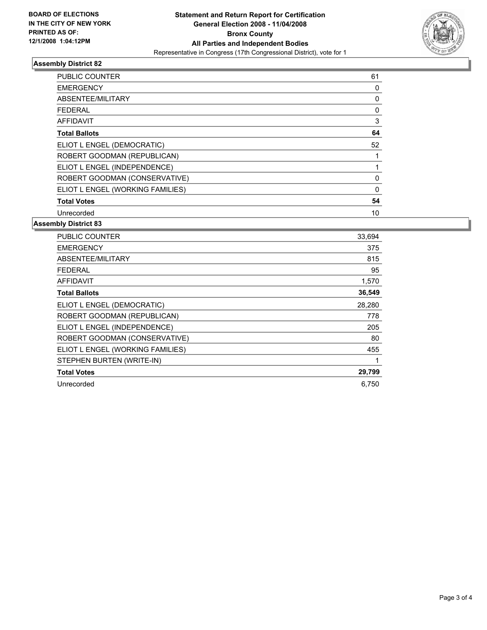

#### **Assembly District 82**

| <b>PUBLIC COUNTER</b>            | 61 |  |
|----------------------------------|----|--|
| <b>EMERGENCY</b>                 |    |  |
| ABSENTEE/MILITARY                |    |  |
| <b>FEDERAL</b>                   | 0  |  |
| AFFIDAVIT                        | 3  |  |
| <b>Total Ballots</b>             | 64 |  |
| ELIOT L ENGEL (DEMOCRATIC)       | 52 |  |
| ROBERT GOODMAN (REPUBLICAN)      |    |  |
| ELIOT L ENGEL (INDEPENDENCE)     |    |  |
| ROBERT GOODMAN (CONSERVATIVE)    | 0  |  |
| ELIOT L ENGEL (WORKING FAMILIES) | 0  |  |
| <b>Total Votes</b>               | 54 |  |
| Unrecorded                       | 10 |  |

#### **Assembly District 83**

| 33,694 |
|--------|
| 375    |
| 815    |
| 95     |
| 1,570  |
| 36,549 |
| 28,280 |
| 778    |
| 205    |
| 80     |
| 455    |
|        |
| 29,799 |
| 6,750  |
|        |